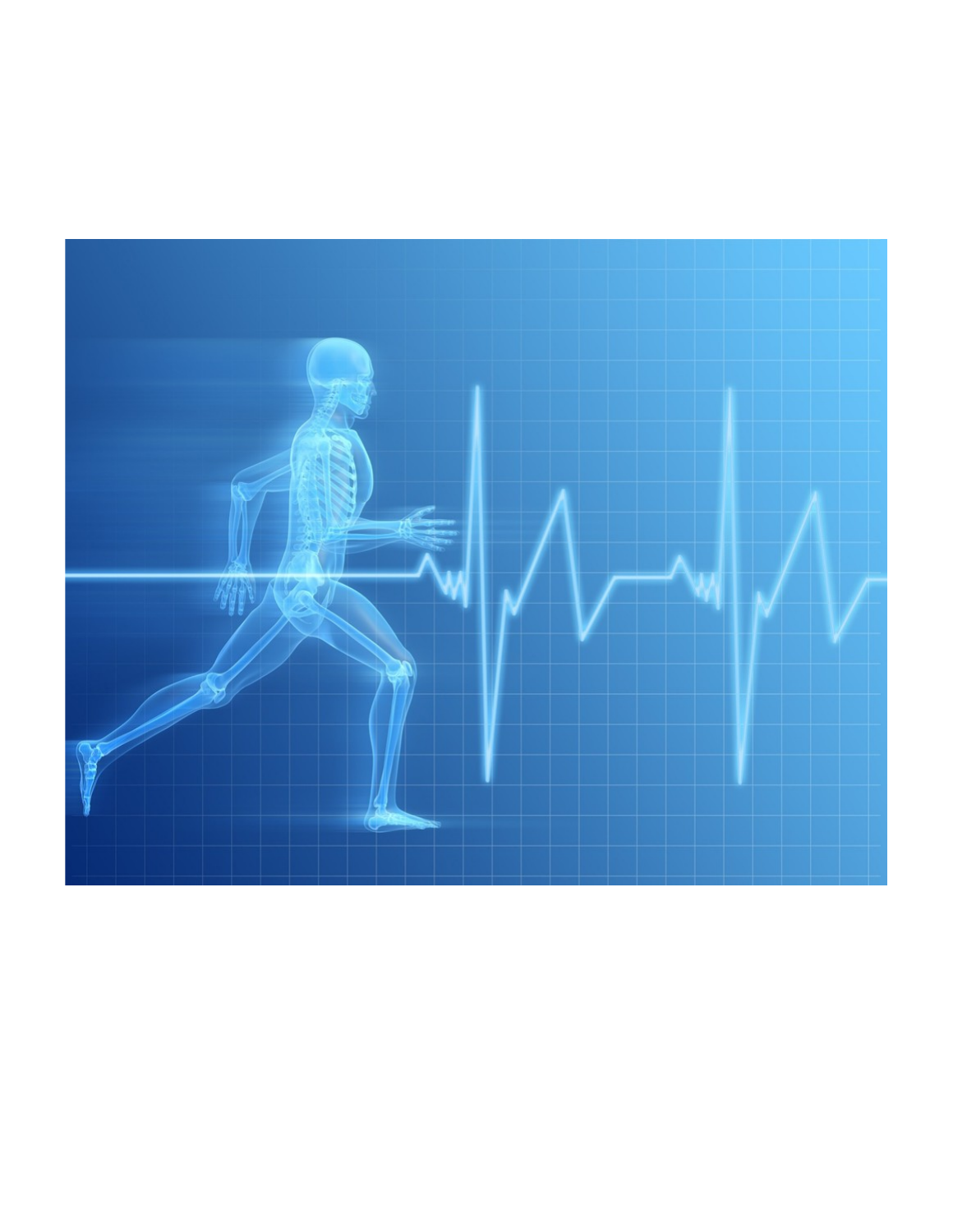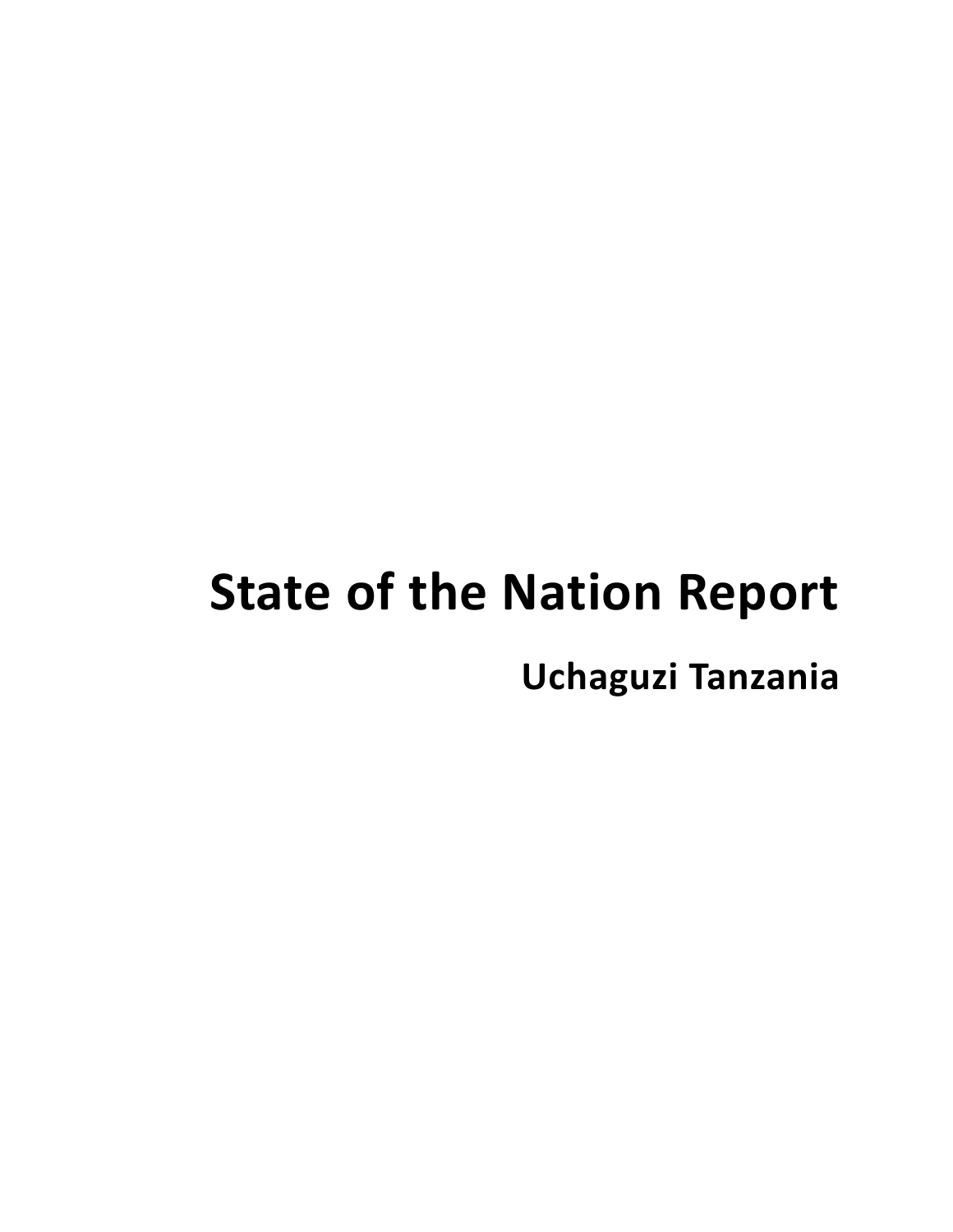## **State of the Nation Report Uchaguzi Tanzania**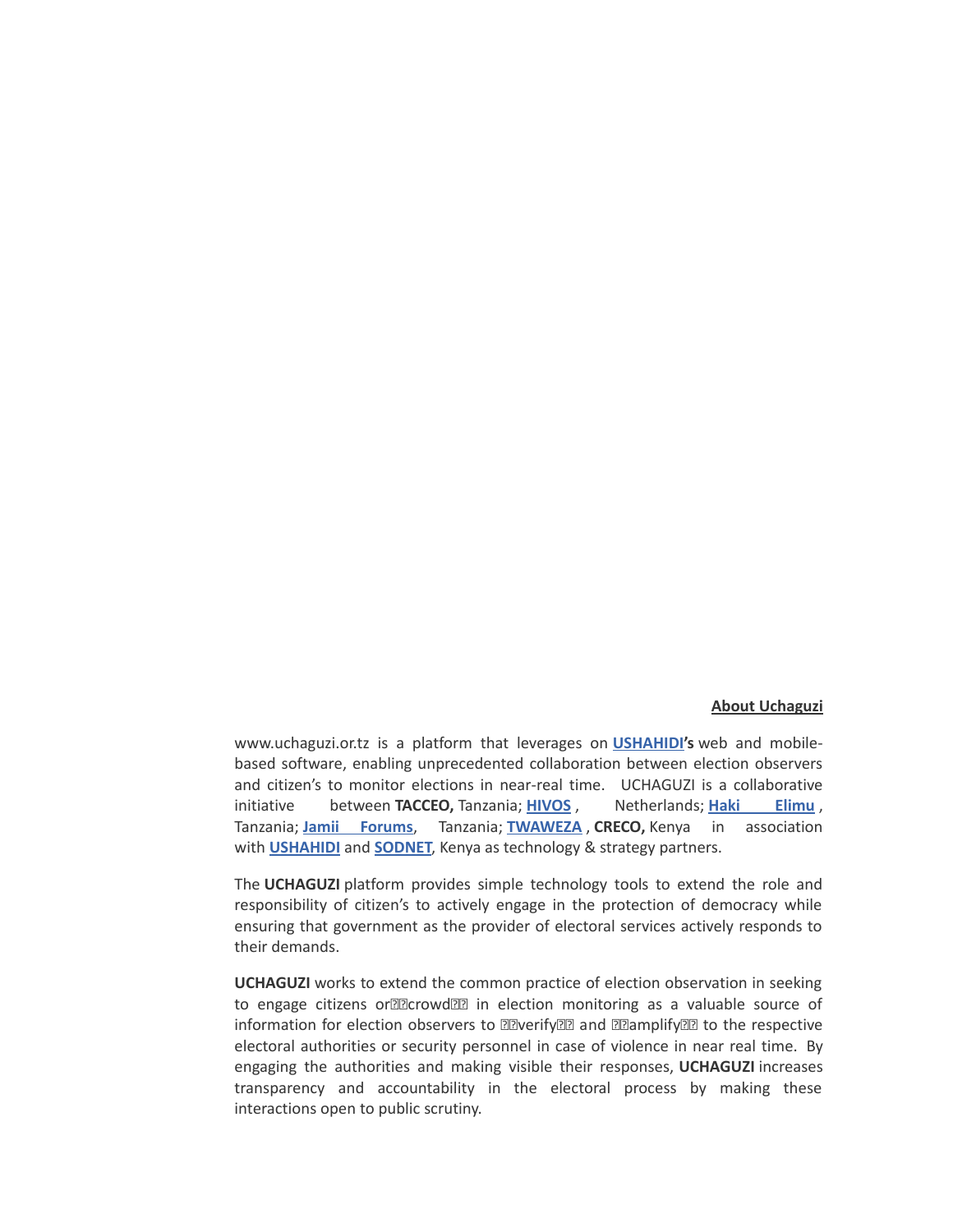## **About Uchaguzi**

www.uchaguzi.or.tz is a platform that leverages on **[USHAHIDI'](http://www.uchaguzi.or.tz/page/index/ushahidi.com)s** web and mobilebased software, enabling unprecedented collaboration between election observers and citizen's to monitor elections in near-real time. UCHAGUZI is a collaborative initiative between **TACCEO,** Tanzania; **[HIVOS](http://www.hivos.nl/)** , Netherlands; **[Haki Elimu](http://www.uchaguzi.or.tz/page/index/hakielimu.org)** , Tanzania; **[Jamii Forums](http://www.uchaguzi.or.tz/page/index/jamiiforums.com)**, Tanzania; **[TWAWEZA](http://www.uchaguzi.or.tz/page/index/twaweza.org)** , **CRECO,** Kenya in association with **[USHAHIDI](http://www.uchaguzi.or.tz/page/index/ushahidi.com)** and **[SODNET](http://www.uchaguzi.or.tz/page/index/sodnet.org)**, Kenya as technology & strategy partners.

The **UCHAGUZI** platform provides simple technology tools to extend the role and responsibility of citizen's to actively engage in the protection of democracy while ensuring that government as the provider of electoral services actively responds to their demands.

**UCHAGUZI** works to extend the common practice of election observation in seeking to engage citizens or alcorowd and in election monitoring as a valuable source of information for election observers to **ZZverify 2** and **ZZamplify 2** to the respective electoral authorities or security personnel in case of violence in near real time. By engaging the authorities and making visible their responses, **UCHAGUZI** increases transparency and accountability in the electoral process by making these interactions open to public scrutiny.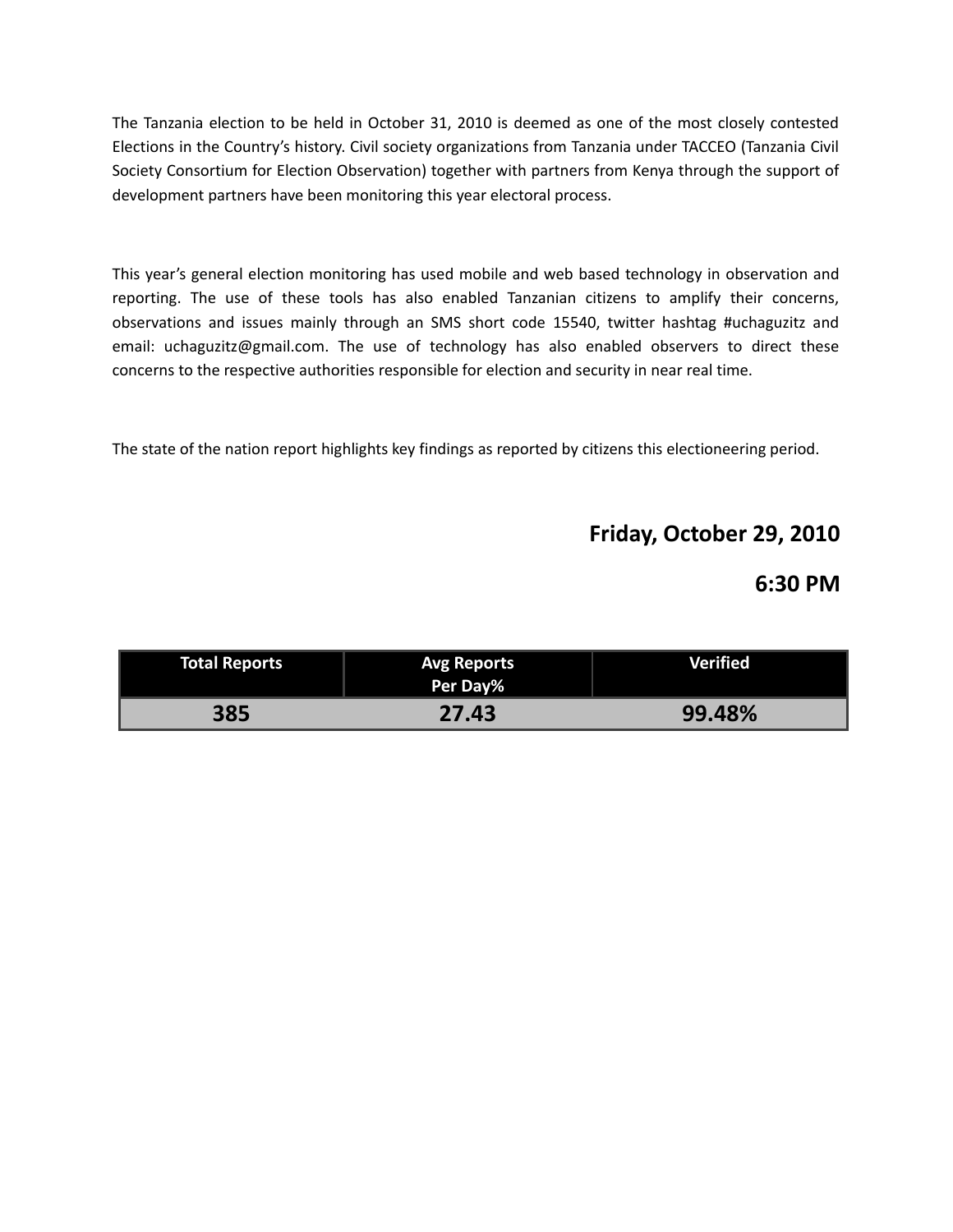The Tanzania election to be held in October 31, 2010 is deemed as one of the most closely contested Elections in the Country's history. Civil society organizations from Tanzania under TACCEO (Tanzania Civil Society Consortium for Election Observation) together with partners from Kenya through the support of development partners have been monitoring this year electoral process.

This year's general election monitoring has used mobile and web based technology in observation and reporting. The use of these tools has also enabled Tanzanian citizens to amplify their concerns, observations and issues mainly through an SMS short code 15540, twitter hashtag #uchaguzitz and email: uchaguzitz@gmail.com. The use of technology has also enabled observers to direct these concerns to the respective authorities responsible for election and security in near real time.

The state of the nation report highlights key findings as reported by citizens this electioneering period.

## **Friday, October 29, 2010**

## **6:30 PM**

| <b>Total Reports</b> | <b>Avg Reports</b><br>Per Day% | Verified |
|----------------------|--------------------------------|----------|
| 385                  | 27.43                          | 99.48%   |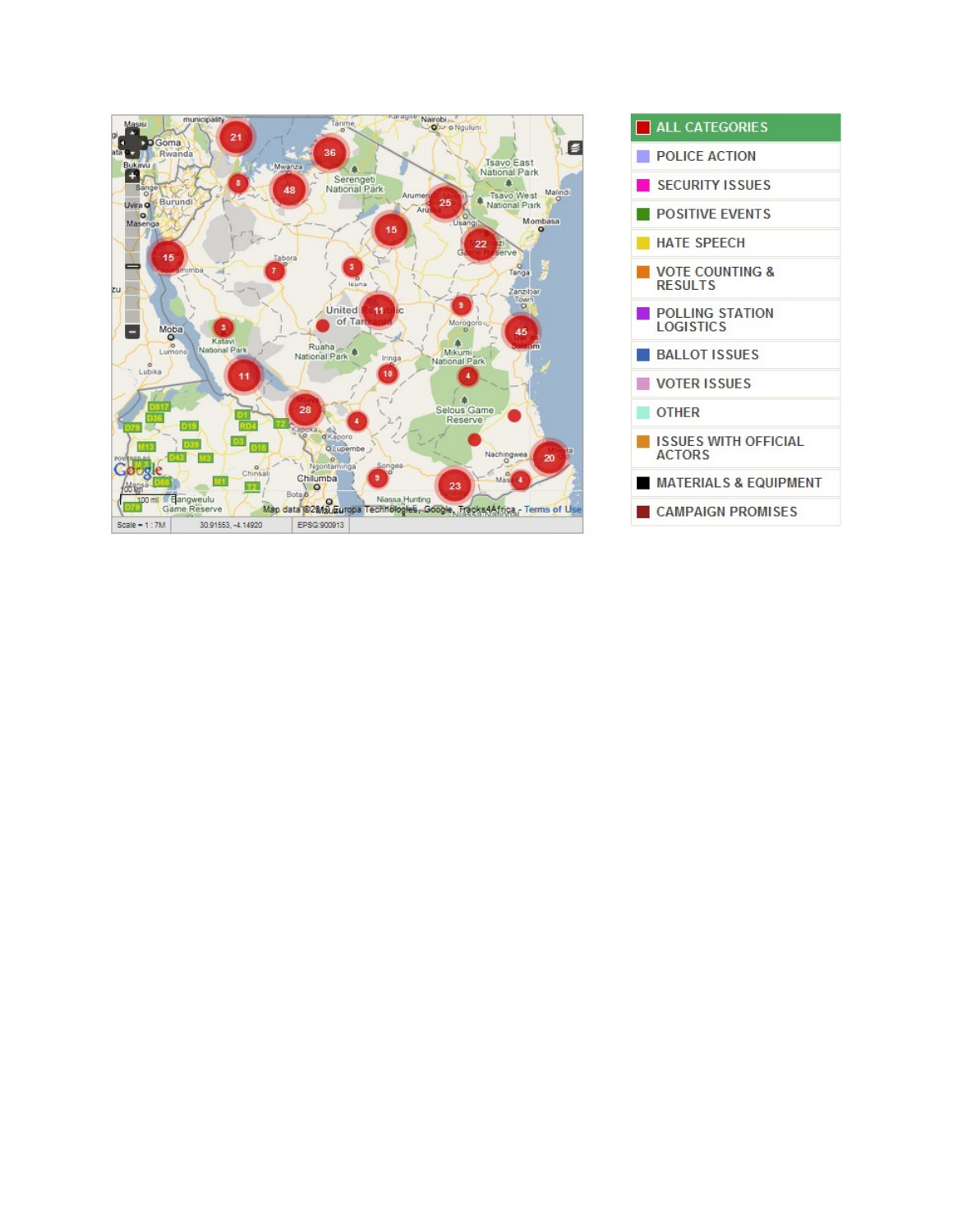

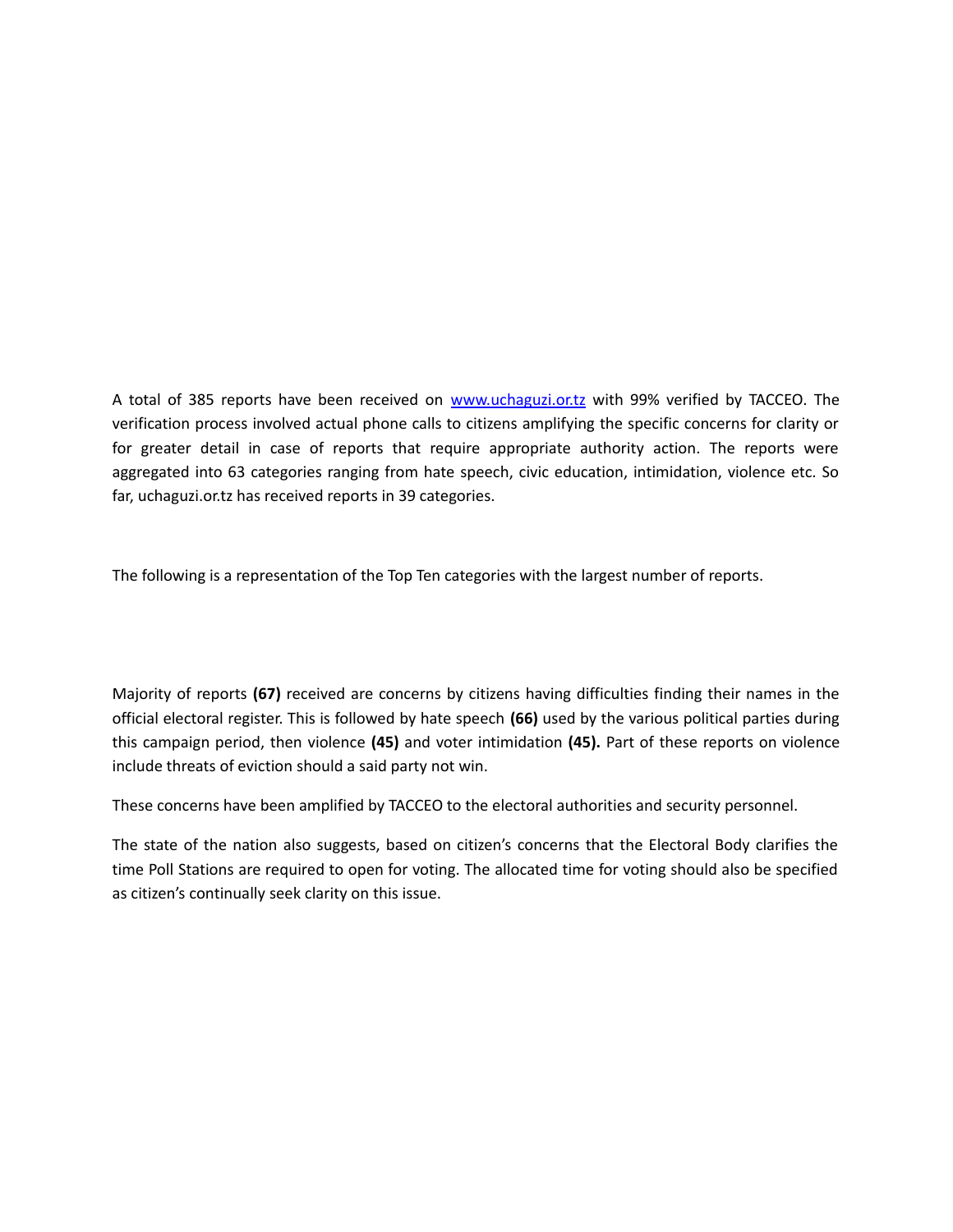A total of 385 reports have been received on [www.uchaguzi.or.tz](http://www.uchaguzi.or.tz/) with 99% verified by TACCEO. The verification process involved actual phone calls to citizens amplifying the specific concerns for clarity or for greater detail in case of reports that require appropriate authority action. The reports were aggregated into 63 categories ranging from hate speech, civic education, intimidation, violence etc. So far, uchaguzi.or.tz has received reports in 39 categories.

The following is a representation of the Top Ten categories with the largest number of reports.

Majority of reports **(67)** received are concerns by citizens having difficulties finding their names in the official electoral register. This is followed by hate speech **(66)** used by the various political parties during this campaign period, then violence **(45)** and voter intimidation **(45).** Part of these reports on violence include threats of eviction should a said party not win.

These concerns have been amplified by TACCEO to the electoral authorities and security personnel.

The state of the nation also suggests, based on citizen's concerns that the Electoral Body clarifies the time Poll Stations are required to open for voting. The allocated time for voting should also be specified as citizen's continually seek clarity on this issue.